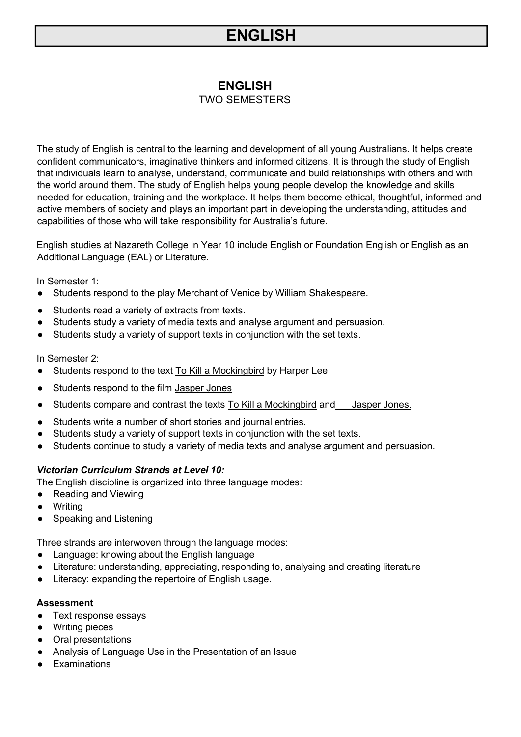## **ENGLISH**

## TWO SEMESTERS

The study of English is central to the learning and development of all young Australians. It helps create confident communicators, imaginative thinkers and informed citizens. It is through the study of English that individuals learn to analyse, understand, communicate and build relationships with others and with the world around them. The study of English helps young people develop the knowledge and skills needed for education, training and the workplace. It helps them become ethical, thoughtful, informed and active members of society and plays an important part in developing the understanding, attitudes and capabilities of those who will take responsibility for Australia's future.

English studies at Nazareth College in Year 10 include English or Foundation English or English as an Additional Language (EAL) or Literature.

In Semester 1:

- Students respond to the play Merchant of Venice by William Shakespeare.
- Students read a variety of extracts from texts.
- Students study a variety of media texts and analyse argument and persuasion.
- Students study a variety of support texts in conjunction with the set texts.

In Semester 2:

- Students respond to the text To Kill a Mockingbird by Harper Lee.
- Students respond to the film Jasper Jones
- Students compare and contrast the texts To Kill a Mockingbird and Jasper Jones.
- Students write a number of short stories and journal entries.
- Students study a variety of support texts in conjunction with the set texts.
- Students continue to study a variety of media texts and analyse argument and persuasion.

## *Victorian Curriculum Strands at Level 10:*

The English discipline is organized into three language modes:

- Reading and Viewing
- Writing
- Speaking and Listening

Three strands are interwoven through the language modes:

- Language: knowing about the English language
- Literature: understanding, appreciating, responding to, analysing and creating literature
- Literacy: expanding the repertoire of English usage.

#### **Assessment**

- Text response essays
- Writing pieces
- Oral presentations
- Analysis of Language Use in the Presentation of an Issue
- Examinations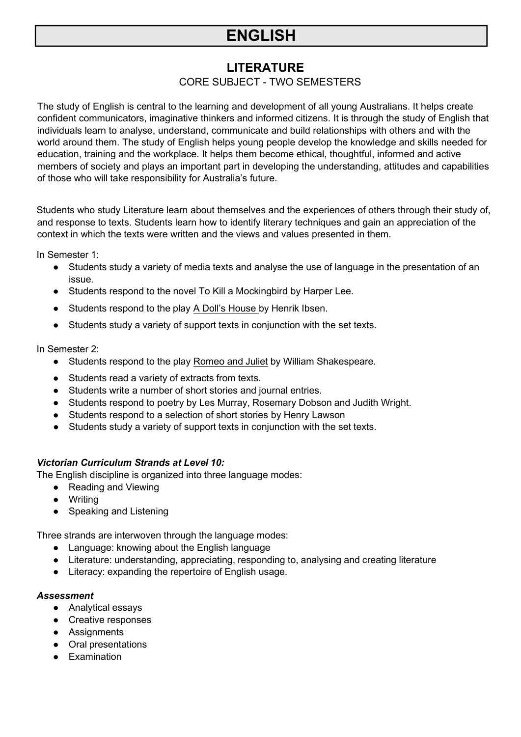## **LITERATURE**

## CORE SUBJECT - TWO SEMESTERS

The study of English is central to the learning and development of all young Australians. It helps create confident communicators, imaginative thinkers and informed citizens. It is through the study of English that individuals learn to analyse, understand, communicate and build relationships with others and with the world around them. The study of English helps young people develop the knowledge and skills needed for education, training and the workplace. It helps them become ethical, thoughtful, informed and active members of society and plays an important part in developing the understanding, attitudes and capabilities of those who will take responsibility for Australia's future.

Students who study Literature learn about themselves and the experiences of others through their study of, and response to texts. Students learn how to identify literary techniques and gain an appreciation of the context in which the texts were written and the views and values presented in them.

In Semester 1:

- Students study a variety of media texts and analyse the use of language in the presentation of an issue.
- Students respond to the novel To Kill a Mockingbird by Harper Lee.
- Students respond to the play A Doll's House by Henrik Ibsen.
- Students study a variety of support texts in conjunction with the set texts.

In Semester 2:

- Students respond to the play Romeo and Juliet by William Shakespeare.
- Students read a variety of extracts from texts.
- Students write a number of short stories and journal entries.
- Students respond to poetry by Les Murray, Rosemary Dobson and Judith Wright.
- Students respond to a selection of short stories by Henry Lawson
- Students study a variety of support texts in conjunction with the set texts.

#### *Victorian Curriculum Strands at Level 10:*

The English discipline is organized into three language modes:

- Reading and Viewing
- Writing
- Speaking and Listening

Three strands are interwoven through the language modes:

- Language: knowing about the English language
- Literature: understanding, appreciating, responding to, analysing and creating literature
- Literacy: expanding the repertoire of English usage.

#### *Assessment*

- Analytical essays
- Creative responses
- Assignments
- Oral presentations
- Examination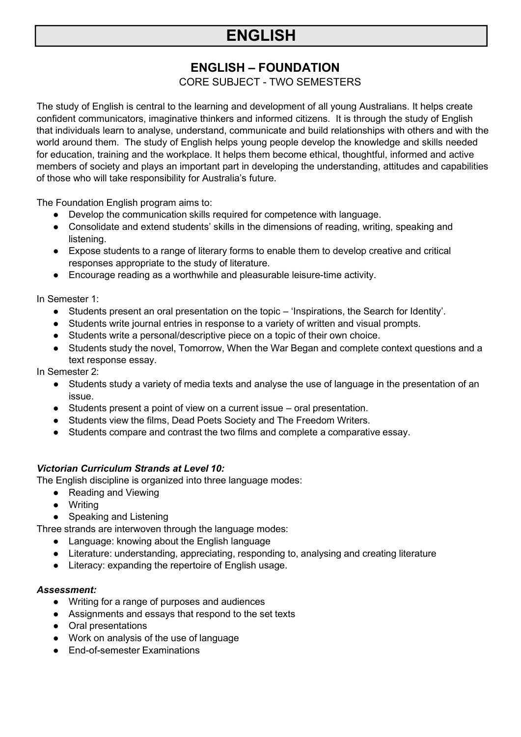## **ENGLISH – FOUNDATION**

## CORE SUBJECT - TWO SEMESTERS

The study of English is central to the learning and development of all young Australians. It helps create confident communicators, imaginative thinkers and informed citizens. It is through the study of English that individuals learn to analyse, understand, communicate and build relationships with others and with the world around them. The study of English helps young people develop the knowledge and skills needed for education, training and the workplace. It helps them become ethical, thoughtful, informed and active members of society and plays an important part in developing the understanding, attitudes and capabilities of those who will take responsibility for Australia's future.

The Foundation English program aims to:

- Develop the communication skills required for competence with language.
- Consolidate and extend students' skills in the dimensions of reading, writing, speaking and listening.
- Expose students to a range of literary forms to enable them to develop creative and critical responses appropriate to the study of literature.
- Encourage reading as a worthwhile and pleasurable leisure-time activity.

In Semester 1:

- Students present an oral presentation on the topic 'Inspirations, the Search for Identity'.
- Students write journal entries in response to a variety of written and visual prompts.
- Students write a personal/descriptive piece on a topic of their own choice.
- Students study the novel, Tomorrow, When the War Began and complete context questions and a text response essay.

In Semester 2:

- Students study a variety of media texts and analyse the use of language in the presentation of an issue.
- Students present a point of view on a current issue oral presentation.
- Students view the films, Dead Poets Society and The Freedom Writers.
- Students compare and contrast the two films and complete a comparative essay.

## *Victorian Curriculum Strands at Level 10:*

The English discipline is organized into three language modes:

- Reading and Viewing
- Writing
- Speaking and Listening

Three strands are interwoven through the language modes:

- Language: knowing about the English language
- Literature: understanding, appreciating, responding to, analysing and creating literature
- Literacy: expanding the repertoire of English usage.

#### *Assessment:*

- Writing for a range of purposes and audiences
- Assignments and essays that respond to the set texts
- Oral presentations
- Work on analysis of the use of language
- End-of-semester Examinations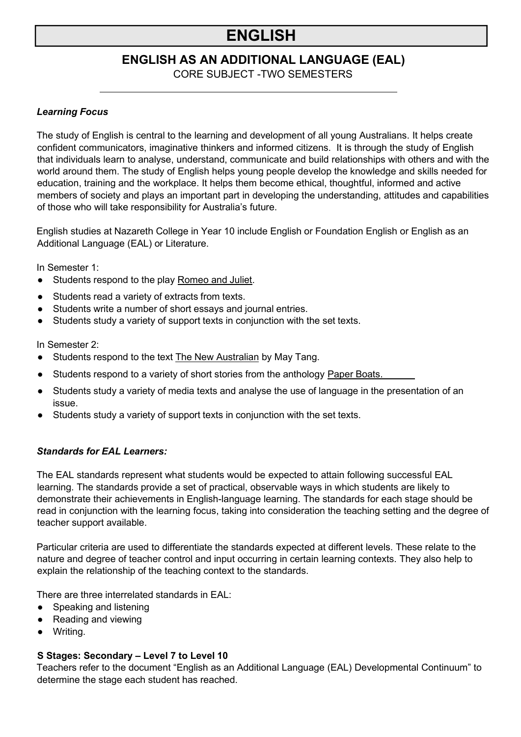## **ENGLISH AS AN ADDITIONAL LANGUAGE (EAL)**

CORE SUBJECT -TWO SEMESTERS

### *Learning Focus*

The study of English is central to the learning and development of all young Australians. It helps create confident communicators, imaginative thinkers and informed citizens. It is through the study of English that individuals learn to analyse, understand, communicate and build relationships with others and with the world around them. The study of English helps young people develop the knowledge and skills needed for education, training and the workplace. It helps them become ethical, thoughtful, informed and active members of society and plays an important part in developing the understanding, attitudes and capabilities of those who will take responsibility for Australia's future.

English studies at Nazareth College in Year 10 include English or Foundation English or English as an Additional Language (EAL) or Literature.

In Semester 1:

- Students respond to the play Romeo and Juliet.
- Students read a variety of extracts from texts.
- Students write a number of short essays and journal entries.
- Students study a variety of support texts in conjunction with the set texts.

In Semester 2:

- Students respond to the text The New Australian by May Tang.
- Students respond to a variety of short stories from the anthology Paper Boats.
- Students study a variety of media texts and analyse the use of language in the presentation of an issue.
- Students study a variety of support texts in conjunction with the set texts.

## *Standards for EAL Learners:*

The EAL standards represent what students would be expected to attain following successful EAL learning. The standards provide a set of practical, observable ways in which students are likely to demonstrate their achievements in English-language learning. The standards for each stage should be read in conjunction with the learning focus, taking into consideration the teaching setting and the degree of teacher support available.

Particular criteria are used to differentiate the standards expected at different levels. These relate to the nature and degree of teacher control and input occurring in certain learning contexts. They also help to explain the relationship of the teaching context to the standards.

There are three interrelated standards in EAL:

- Speaking and listening
- Reading and viewing
- Writing.

## **S Stages: Secondary – Level 7 to Level 10**

Teachers refer to the document "English as an Additional Language (EAL) Developmental Continuum" to determine the stage each student has reached.